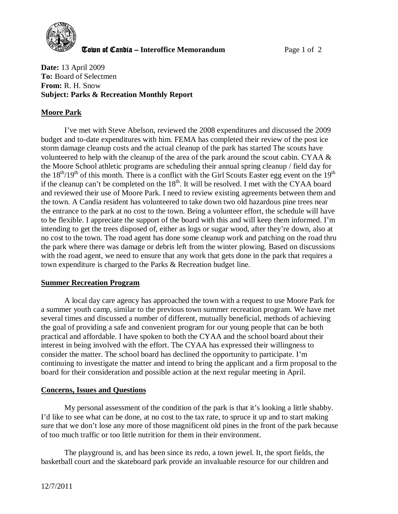

**The United Candia – Interoffice Memorandum** *Page 1 of 2* 

**Date:** 13 April 2009 **To:** Board of Selectmen **From:** R. H. Snow **Subject: Parks & Recreation Monthly Report** 

## **Moore Park**

I've met with Steve Abelson, reviewed the 2008 expenditures and discussed the 2009 budget and to-date expenditures with him. FEMA has completed their review of the post ice storm damage cleanup costs and the actual cleanup of the park has started The scouts have volunteered to help with the cleanup of the area of the park around the scout cabin. CYAA & the Moore School athletic programs are scheduling their annual spring cleanup / field day for the  $18<sup>th</sup>/19<sup>th</sup>$  of this month. There is a conflict with the Girl Scouts Easter egg event on the  $19<sup>th</sup>$ if the cleanup can't be completed on the  $18<sup>th</sup>$ . It will be resolved. I met with the CYAA board and reviewed their use of Moore Park. I need to review existing agreements between them and the town. A Candia resident has volunteered to take down two old hazardous pine trees near the entrance to the park at no cost to the town. Being a volunteer effort, the schedule will have to be flexible. I appreciate the support of the board with this and will keep them informed. I'm intending to get the trees disposed of, either as logs or sugar wood, after they're down, also at no cost to the town. The road agent has done some cleanup work and patching on the road thru the park where there was damage or debris left from the winter plowing. Based on discussions with the road agent, we need to ensure that any work that gets done in the park that requires a town expenditure is charged to the Parks & Recreation budget line.

## **Summer Recreation Program**

A local day care agency has approached the town with a request to use Moore Park for a summer youth camp, similar to the previous town summer recreation program. We have met several times and discussed a number of different, mutually beneficial, methods of achieving the goal of providing a safe and convenient program for our young people that can be both practical and affordable. I have spoken to both the CYAA and the school board about their interest in being involved with the effort. The CYAA has expressed their willingness to consider the matter. The school board has declined the opportunity to participate. I'm continuing to investigate the matter and intend to bring the applicant and a firm proposal to the board for their consideration and possible action at the next regular meeting in April.

## **Concerns, Issues and Questions**

My personal assessment of the condition of the park is that it's looking a little shabby. I'd like to see what can be done, at no cost to the tax rate, to spruce it up and to start making sure that we don't lose any more of those magnificent old pines in the front of the park because of too much traffic or too little nutrition for them in their environment.

The playground is, and has been since its redo, a town jewel. It, the sport fields, the basketball court and the skateboard park provide an invaluable resource for our children and